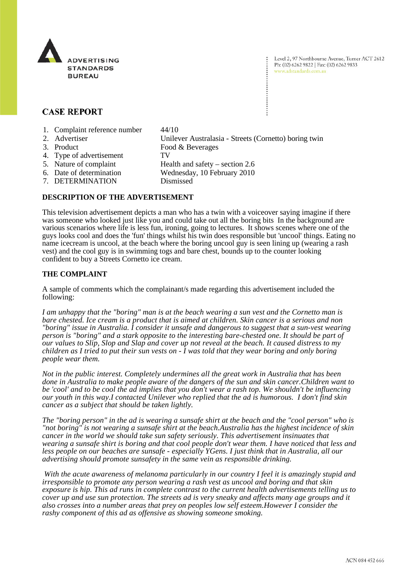

Level 2, 97 Northbourne Avenue, Turner ACT 2612 Ph: (02) 6262 9822 | Fax: (02) 6262 9833 www.adstandards.com.au

# **CASE REPORT**

- 1. Complaint reference number 44/10
- 
- 
- 4. Type of advertisement TV
- 
- 
- -
- 7. DETERMINATION Dismissed

2. Advertiser Unilever Australasia - Streets (Cornetto) boring twin 3. Product Food & Beverages 5. Nature of complaint Health and safety – section 2.6 6. Date of determination Wednesday, 10 February 2010

### **DESCRIPTION OF THE ADVERTISEMENT**

This television advertisement depicts a man who has a twin with a voiceover saying imagine if there was someone who looked just like you and could take out all the boring bits In the background are various scenarios where life is less fun, ironing, going to lectures. It shows scenes where one of the guys looks cool and does the 'fun' things whilst his twin does responsible but 'uncool' things. Eating no name icecream is uncool, at the beach where the boring uncool guy is seen lining up (wearing a rash vest) and the cool guy is in swimming togs and bare chest, bounds up to the counter looking confident to buy a Streets Cornetto ice cream.

#### **THE COMPLAINT**

A sample of comments which the complainant/s made regarding this advertisement included the following:

*I am unhappy that the "boring" man is at the beach wearing a sun vest and the Cornetto man is bare chested. Ice cream is a product that is aimed at children. Skin cancer is a serious and non "boring" issue in Australia. I consider it unsafe and dangerous to suggest that a sun-vest wearing person is "boring" and a stark opposite to the interesting bare-chested one. It should be part of our values to Slip, Slop and Slap and cover up not reveal at the beach. It caused distress to my children as I tried to put their sun vests on - I was told that they wear boring and only boring people wear them.*

*Not in the public interest. Completely undermines all the great work in Australia that has been done in Australia to make people aware of the dangers of the sun and skin cancer.Children want to be 'cool' and to be cool the ad implies that you don't wear a rash top. We shouldn't be influencing our youth in this way.I contacted Unilever who replied that the ad is humorous. I don't find skin cancer as a subject that should be taken lightly.*

*The "boring person" in the ad is wearing a sunsafe shirt at the beach and the "cool person" who is "not boring" is not wearing a sunsafe shirt at the beach.Australia has the highest incidence of skin cancer in the world we should take sun safety seriously. This advertisement insinuates that wearing a sunsafe shirt is boring and that cool people don't wear them. I have noticed that less and less people on our beaches are sunsafe - especially YGens. I just think that in Australia, all our advertising should promote sunsafety in the same vein as responsible drinking.*

 *With the acute awareness of melanoma particularly in our country I feel it is amazingly stupid and irresponsible to promote any person wearing a rash vest as uncool and boring and that skin exposure is hip. This ad runs in complete contrast to the current health advertisements telling us to cover up and use sun protection. The streets ad is very sneaky and affects many age groups and it also crosses into a number areas that prey on peoples low self esteem.However I consider the rashy component of this ad as offensive as showing someone smoking.*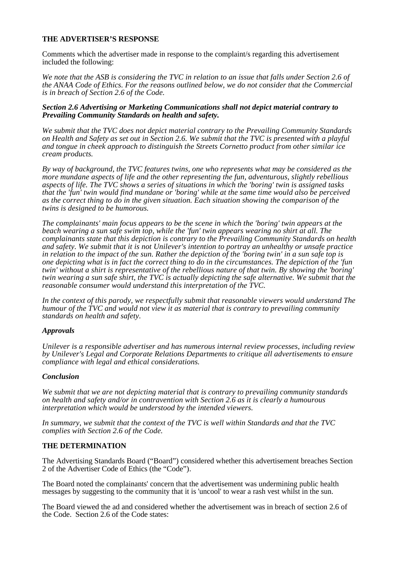## **THE ADVERTISER'S RESPONSE**

Comments which the advertiser made in response to the complaint/s regarding this advertisement included the following:

*We note that the ASB is considering the TVC in relation to an issue that falls under Section 2.6 of the ANAA Code of Ethics. For the reasons outlined below, we do not consider that the Commercial is in breach of Section 2.6 of the Code.*

#### *Section 2.6 Advertising or Marketing Communications shall not depict material contrary to Prevailing Community Standards on health and safety.*

*We submit that the TVC does not depict material contrary to the Prevailing Community Standards on Health and Safety as set out in Section 2.6. We submit that the TVC is presented with a playful and tongue in cheek approach to distinguish the Streets Cornetto product from other similar ice cream products.*

*By way of background, the TVC features twins, one who represents what may be considered as the more mundane aspects of life and the other representing the fun, adventurous, slightly rebellious aspects of life. The TVC shows a series of situations in which the 'boring' twin is assigned tasks that the 'fun' twin would find mundane or 'boring' while at the same time would also be perceived as the correct thing to do in the given situation. Each situation showing the comparison of the twins is designed to be humorous.*

*The complainants' main focus appears to be the scene in which the 'boring' twin appears at the beach wearing a sun safe swim top, while the 'fun' twin appears wearing no shirt at all. The complainants state that this depiction is contrary to the Prevailing Community Standards on health and safety. We submit that it is not Unilever's intention to portray an unhealthy or unsafe practice in relation to the impact of the sun. Rather the depiction of the 'boring twin' in a sun safe top is one depicting what is in fact the correct thing to do in the circumstances. The depiction of the 'fun twin' without a shirt is representative of the rebellious nature of that twin. By showing the 'boring' twin wearing a sun safe shirt, the TVC is actually depicting the safe alternative. We submit that the reasonable consumer would understand this interpretation of the TVC.*

*In the context of this parody, we respectfully submit that reasonable viewers would understand The humour of the TVC and would not view it as material that is contrary to prevailing community standards on health and safety.*

## *Approvals*

*Unilever is a responsible advertiser and has numerous internal review processes, including review by Unilever's Legal and Corporate Relations Departments to critique all advertisements to ensure compliance with legal and ethical considerations.*

## *Conclusion*

*We submit that we are not depicting material that is contrary to prevailing community standards on health and safety and/or in contravention with Section 2.6 as it is clearly a humourous interpretation which would be understood by the intended viewers.*

*In summary, we submit that the context of the TVC is well within Standards and that the TVC complies with Section 2.6 of the Code.*

### **THE DETERMINATION**

The Advertising Standards Board ("Board") considered whether this advertisement breaches Section 2 of the Advertiser Code of Ethics (the "Code").

The Board noted the complainants' concern that the advertisement was undermining public health messages by suggesting to the community that it is 'uncool' to wear a rash vest whilst in the sun.

The Board viewed the ad and considered whether the advertisement was in breach of section 2.6 of the Code. Section 2.6 of the Code states: